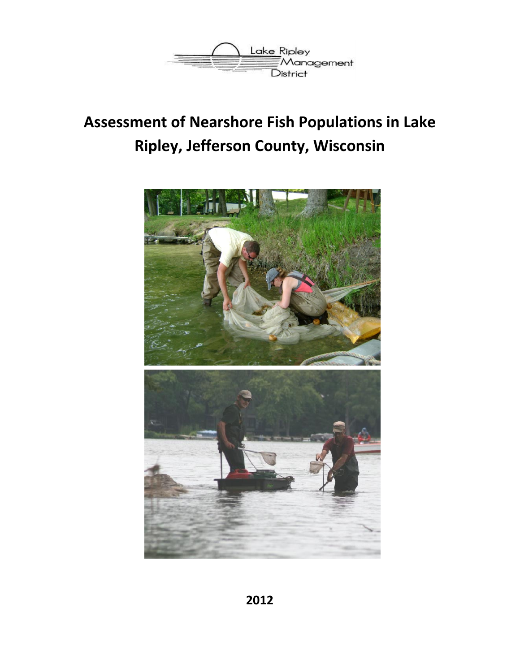

# **Assessment of Nearshore Fish Populations in Lake Ripley, Jefferson County, Wisconsin**

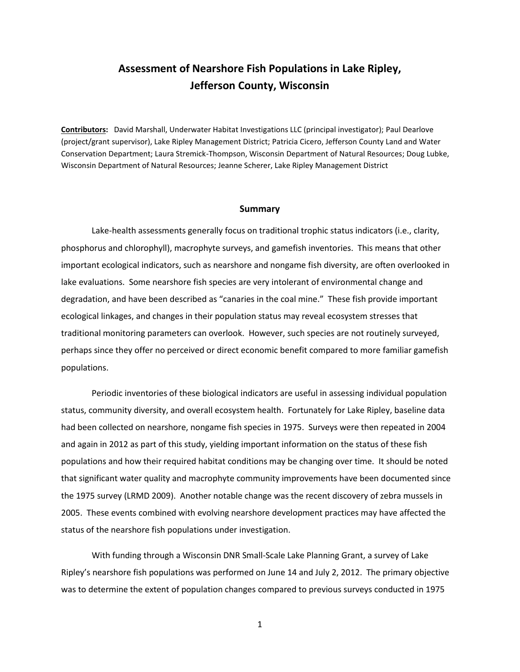## **Assessment of Nearshore Fish Populations in Lake Ripley, Jefferson County, Wisconsin**

**Contributors:** David Marshall, Underwater Habitat Investigations LLC (principal investigator); Paul Dearlove (project/grant supervisor), Lake Ripley Management District; Patricia Cicero, Jefferson County Land and Water Conservation Department; Laura Stremick-Thompson, Wisconsin Department of Natural Resources; Doug Lubke, Wisconsin Department of Natural Resources; Jeanne Scherer, Lake Ripley Management District

#### **Summary**

Lake-health assessments generally focus on traditional trophic status indicators (i.e., clarity, phosphorus and chlorophyll), macrophyte surveys, and gamefish inventories. This means that other important ecological indicators, such as nearshore and nongame fish diversity, are often overlooked in lake evaluations. Some nearshore fish species are very intolerant of environmental change and degradation, and have been described as "canaries in the coal mine." These fish provide important ecological linkages, and changes in their population status may reveal ecosystem stresses that traditional monitoring parameters can overlook. However, such species are not routinely surveyed, perhaps since they offer no perceived or direct economic benefit compared to more familiar gamefish populations.

Periodic inventories of these biological indicators are useful in assessing individual population status, community diversity, and overall ecosystem health. Fortunately for Lake Ripley, baseline data had been collected on nearshore, nongame fish species in 1975. Surveys were then repeated in 2004 and again in 2012 as part of this study, yielding important information on the status of these fish populations and how their required habitat conditions may be changing over time. It should be noted that significant water quality and macrophyte community improvements have been documented since the 1975 survey (LRMD 2009). Another notable change was the recent discovery of zebra mussels in 2005. These events combined with evolving nearshore development practices may have affected the status of the nearshore fish populations under investigation.

With funding through a Wisconsin DNR Small-Scale Lake Planning Grant, a survey of Lake Ripley's nearshore fish populations was performed on June 14 and July 2, 2012. The primary objective was to determine the extent of population changes compared to previous surveys conducted in 1975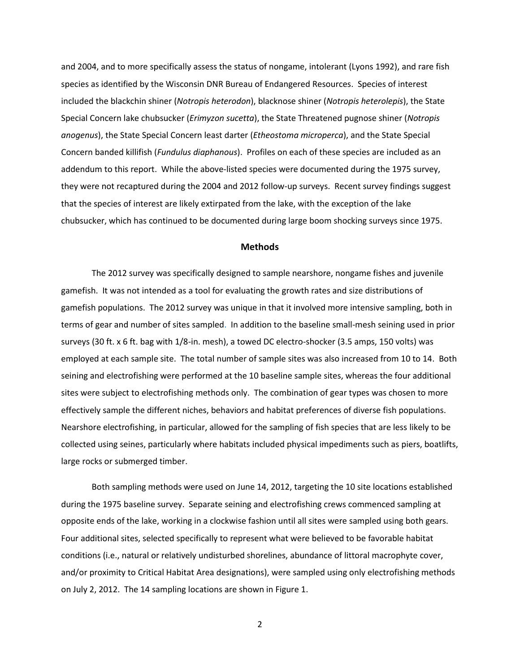and 2004, and to more specifically assess the status of nongame, intolerant (Lyons 1992), and rare fish species as identified by the Wisconsin DNR Bureau of Endangered Resources. Species of interest included the blackchin shiner (*Notropis heterodon*), blacknose shiner (*Notropis heterolepis*), the State Special Concern lake chubsucker (*Erimyzon sucetta*), the State Threatened pugnose shiner (*Notropis anogenus*), the State Special Concern least darter (*Etheostoma microperca*), and the State Special Concern banded killifish (*Fundulus diaphanous*). Profiles on each of these species are included as an addendum to this report. While the above-listed species were documented during the 1975 survey, they were not recaptured during the 2004 and 2012 follow-up surveys. Recent survey findings suggest that the species of interest are likely extirpated from the lake, with the exception of the lake chubsucker, which has continued to be documented during large boom shocking surveys since 1975.

## **Methods**

The 2012 survey was specifically designed to sample nearshore, nongame fishes and juvenile gamefish. It was not intended as a tool for evaluating the growth rates and size distributions of gamefish populations. The 2012 survey was unique in that it involved more intensive sampling, both in terms of gear and number of sites sampled. In addition to the baseline small-mesh seining used in prior surveys (30 ft. x 6 ft. bag with 1/8-in. mesh), a towed DC electro-shocker (3.5 amps, 150 volts) was employed at each sample site. The total number of sample sites was also increased from 10 to 14. Both seining and electrofishing were performed at the 10 baseline sample sites, whereas the four additional sites were subject to electrofishing methods only. The combination of gear types was chosen to more effectively sample the different niches, behaviors and habitat preferences of diverse fish populations. Nearshore electrofishing, in particular, allowed for the sampling of fish species that are less likely to be collected using seines, particularly where habitats included physical impediments such as piers, boatlifts, large rocks or submerged timber.

Both sampling methods were used on June 14, 2012, targeting the 10 site locations established during the 1975 baseline survey. Separate seining and electrofishing crews commenced sampling at opposite ends of the lake, working in a clockwise fashion until all sites were sampled using both gears. Four additional sites, selected specifically to represent what were believed to be favorable habitat conditions (i.e., natural or relatively undisturbed shorelines, abundance of littoral macrophyte cover, and/or proximity to Critical Habitat Area designations), were sampled using only electrofishing methods on July 2, 2012. The 14 sampling locations are shown in Figure 1.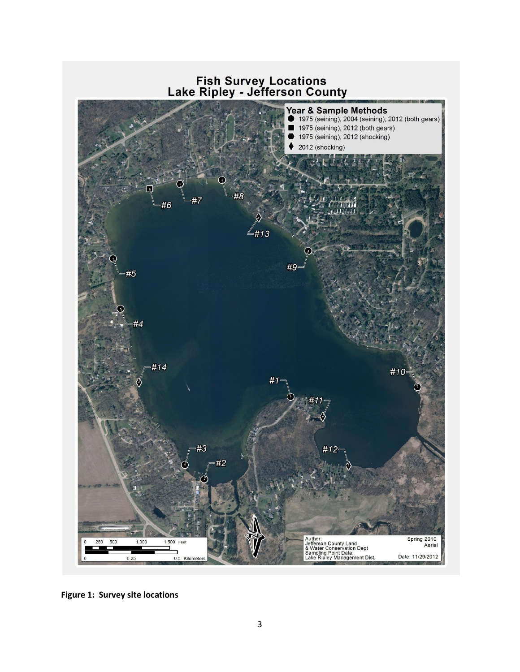

**Figure 1: Survey site locations**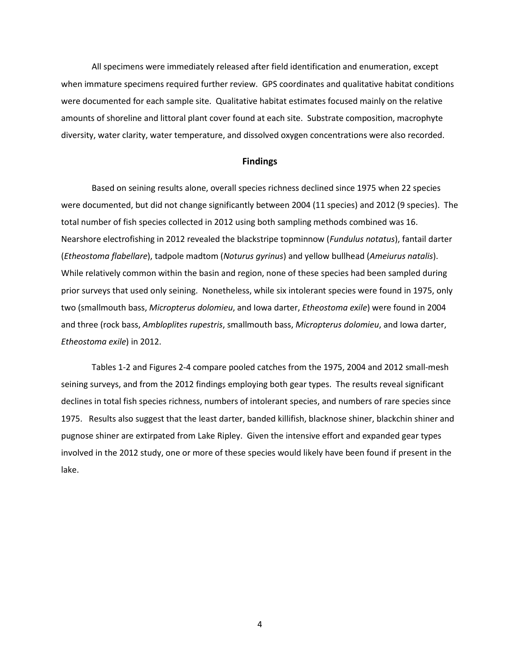All specimens were immediately released after field identification and enumeration, except when immature specimens required further review. GPS coordinates and qualitative habitat conditions were documented for each sample site. Qualitative habitat estimates focused mainly on the relative amounts of shoreline and littoral plant cover found at each site. Substrate composition, macrophyte diversity, water clarity, water temperature, and dissolved oxygen concentrations were also recorded.

#### **Findings**

Based on seining results alone, overall species richness declined since 1975 when 22 species were documented, but did not change significantly between 2004 (11 species) and 2012 (9 species). The total number of fish species collected in 2012 using both sampling methods combined was 16. Nearshore electrofishing in 2012 revealed the blackstripe topminnow (*Fundulus notatus*), fantail darter (*Etheostoma flabellare*), tadpole madtom (*Noturus gyrinus*) and yellow bullhead (*Ameiurus natalis*). While relatively common within the basin and region, none of these species had been sampled during prior surveys that used only seining. Nonetheless, while six intolerant species were found in 1975, only two (smallmouth bass, *Micropterus dolomieu*, and Iowa darter, *Etheostoma exile*) were found in 2004 and three (rock bass, *Ambloplites rupestris*, smallmouth bass, *Micropterus dolomieu*, and Iowa darter, *Etheostoma exile*) in 2012.

Tables 1-2 and Figures 2-4 compare pooled catches from the 1975, 2004 and 2012 small-mesh seining surveys, and from the 2012 findings employing both gear types. The results reveal significant declines in total fish species richness, numbers of intolerant species, and numbers of rare species since 1975. Results also suggest that the least darter, banded killifish, blacknose shiner, blackchin shiner and pugnose shiner are extirpated from Lake Ripley. Given the intensive effort and expanded gear types involved in the 2012 study, one or more of these species would likely have been found if present in the lake.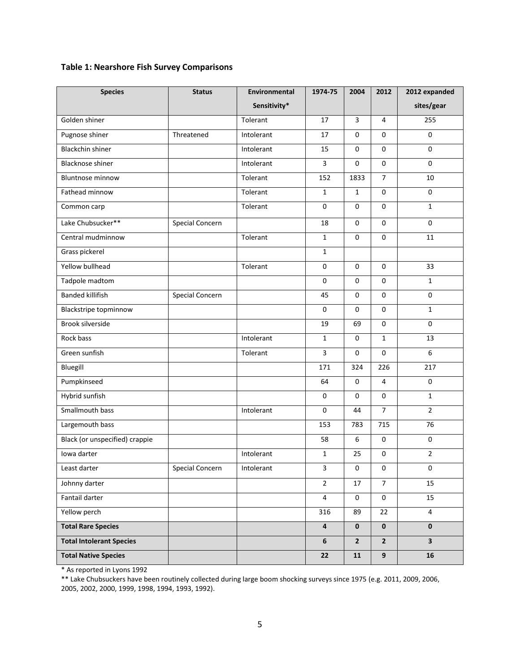## **Table 1: Nearshore Fish Survey Comparisons**

| <b>Species</b>                  | <b>Status</b>          | Environmental | 1974-75                 | 2004                    | 2012                | 2012 expanded           |
|---------------------------------|------------------------|---------------|-------------------------|-------------------------|---------------------|-------------------------|
|                                 |                        | Sensitivity*  |                         |                         |                     | sites/gear              |
| Golden shiner                   |                        | Tolerant      | 17                      | $\overline{\mathbf{3}}$ | 4                   | 255                     |
| Pugnose shiner                  | Threatened             | Intolerant    | 17                      | $\Omega$                | $\Omega$            | $\mathbf 0$             |
| <b>Blackchin shiner</b>         |                        | Intolerant    | 15                      | $\mathbf 0$             | $\mathbf 0$         | $\mathbf 0$             |
| <b>Blacknose shiner</b>         |                        | Intolerant    | 3                       | $\mathbf 0$             | $\mathsf{O}\xspace$ | $\mathbf{0}$            |
| <b>Bluntnose minnow</b>         |                        | Tolerant      | 152                     | 1833                    | $\overline{7}$      | 10                      |
| Fathead minnow                  |                        | Tolerant      | $\mathbf{1}$            | $\mathbf{1}$            | 0                   | 0                       |
| Common carp                     |                        | Tolerant      | $\mathbf 0$             | $\mathbf 0$             | $\mathbf 0$         | $\mathbf{1}$            |
| Lake Chubsucker**               | <b>Special Concern</b> |               | 18                      | $\mathbf 0$             | $\mathbf 0$         | $\mathbf 0$             |
| Central mudminnow               |                        | Tolerant      | $\mathbf{1}$            | $\mathbf 0$             | 0                   | 11                      |
| Grass pickerel                  |                        |               | $\mathbf{1}$            |                         |                     |                         |
| Yellow bullhead                 |                        | Tolerant      | $\mathbf 0$             | $\Omega$                | $\Omega$            | 33                      |
| Tadpole madtom                  |                        |               | $\pmb{0}$               | $\mathbf 0$             | 0                   | $\mathbf{1}$            |
| <b>Banded killifish</b>         | Special Concern        |               | 45                      | $\mathbf 0$             | $\mathsf{O}\xspace$ | $\pmb{0}$               |
| <b>Blackstripe topminnow</b>    |                        |               | $\pmb{0}$               | $\mathbf 0$             | 0                   | $\mathbf 1$             |
| <b>Brook silverside</b>         |                        |               | 19                      | 69                      | $\mathbf{0}$        | 0                       |
| Rock bass                       |                        | Intolerant    | $\mathbf{1}$            | $\mathbf 0$             | $\mathbf 1$         | 13                      |
| Green sunfish                   |                        | Tolerant      | 3                       | $\mathbf 0$             | $\mathbf 0$         | 6                       |
| Bluegill                        |                        |               | 171                     | 324                     | 226                 | 217                     |
| Pumpkinseed                     |                        |               | 64                      | $\pmb{0}$               | 4                   | $\pmb{0}$               |
| Hybrid sunfish                  |                        |               | $\mathbf 0$             | $\mathbf 0$             | 0                   | $\mathbf{1}$            |
| Smallmouth bass                 |                        | Intolerant    | $\mathbf 0$             | 44                      | $\overline{7}$      | $\overline{2}$          |
| Largemouth bass                 |                        |               | 153                     | 783                     | 715                 | 76                      |
| Black (or unspecified) crappie  |                        |               | 58                      | $\boldsymbol{6}$        | $\mathsf{O}\xspace$ | 0                       |
| Iowa darter                     |                        | Intolerant    | $\mathbf{1}$            | 25                      | 0                   | $\overline{2}$          |
| Least darter                    | <b>Special Concern</b> | Intolerant    | 3                       | 0                       | 0                   | 0                       |
| Johnny darter                   |                        |               | $\overline{2}$          | 17                      | $\overline{7}$      | 15                      |
| Fantail darter                  |                        |               | $\overline{4}$          | $\mathbf 0$             | 0                   | 15                      |
| Yellow perch                    |                        |               | 316                     | 89                      | 22                  | $\overline{4}$          |
| <b>Total Rare Species</b>       |                        |               | $\overline{\mathbf{4}}$ | $\mathbf 0$             | $\mathbf 0$         | $\mathbf 0$             |
| <b>Total Intolerant Species</b> |                        |               | 6                       | $\overline{2}$          | $\mathbf{2}$        | $\overline{\mathbf{3}}$ |
| <b>Total Native Species</b>     |                        |               | 22                      | 11                      | $\boldsymbol{9}$    | 16                      |

\* As reported in Lyons 1992

\*\* Lake Chubsuckers have been routinely collected during large boom shocking surveys since 1975 (e.g. 2011, 2009, 2006, 2005, 2002, 2000, 1999, 1998, 1994, 1993, 1992).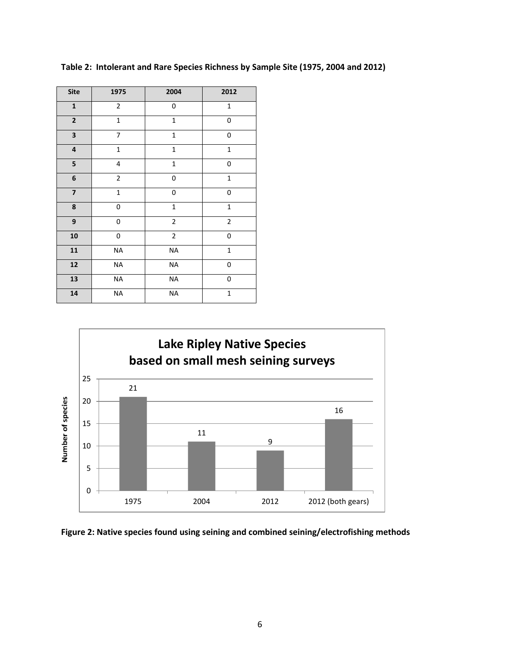| <b>Site</b>             | 1975           | 2004         | 2012         |
|-------------------------|----------------|--------------|--------------|
| $\mathbf 1$             | $\overline{2}$ | 0            | $\mathbf 1$  |
| $\mathbf 2$             | $\mathbf 1$    | $\mathbf{1}$ | 0            |
| 3                       | 7              | $\mathbf{1}$ | 0            |
| $\pmb{4}$               | $\mathbf{1}$   | $\mathbf 1$  | $\mathbf 1$  |
| 5                       | 4              | $\mathbf{1}$ | $\mathbf 0$  |
| 6                       | $\overline{2}$ | $\pmb{0}$    | $\mathbf 1$  |
| $\overline{\mathbf{z}}$ | $\mathbf 1$    | 0            | 0            |
| 8                       | 0              | $\mathbf 1$  | $\mathbf{1}$ |
| 9                       | 0              | $\mathbf 2$  | $\mathbf 2$  |
| 10                      | 0              | $\mathbf 2$  | 0            |
| 11                      | <b>NA</b>      | <b>NA</b>    | $\mathbf 1$  |
| 12                      | <b>NA</b>      | <b>NA</b>    | 0            |
| 13                      | <b>NA</b>      | <b>NA</b>    | 0            |
| 14                      | <b>NA</b>      | <b>NA</b>    | $\mathbf{1}$ |

**Table 2: Intolerant and Rare Species Richness by Sample Site (1975, 2004 and 2012)**



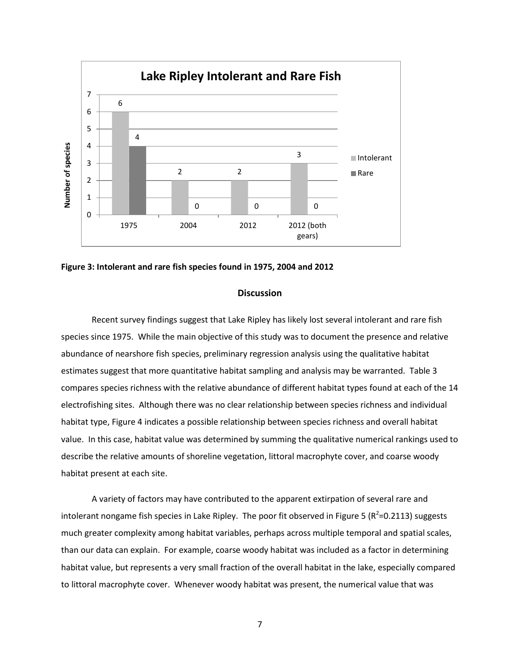



### **Discussion**

Recent survey findings suggest that Lake Ripley has likely lost several intolerant and rare fish species since 1975. While the main objective of this study was to document the presence and relative abundance of nearshore fish species, preliminary regression analysis using the qualitative habitat estimates suggest that more quantitative habitat sampling and analysis may be warranted. Table 3 compares species richness with the relative abundance of different habitat types found at each of the 14 electrofishing sites. Although there was no clear relationship between species richness and individual habitat type, Figure 4 indicates a possible relationship between species richness and overall habitat value. In this case, habitat value was determined by summing the qualitative numerical rankings used to describe the relative amounts of shoreline vegetation, littoral macrophyte cover, and coarse woody habitat present at each site.

A variety of factors may have contributed to the apparent extirpation of several rare and intolerant nongame fish species in Lake Ripley. The poor fit observed in Figure 5 ( $R^2$ =0.2113) suggests much greater complexity among habitat variables, perhaps across multiple temporal and spatial scales, than our data can explain. For example, coarse woody habitat was included as a factor in determining habitat value, but represents a very small fraction of the overall habitat in the lake, especially compared to littoral macrophyte cover. Whenever woody habitat was present, the numerical value that was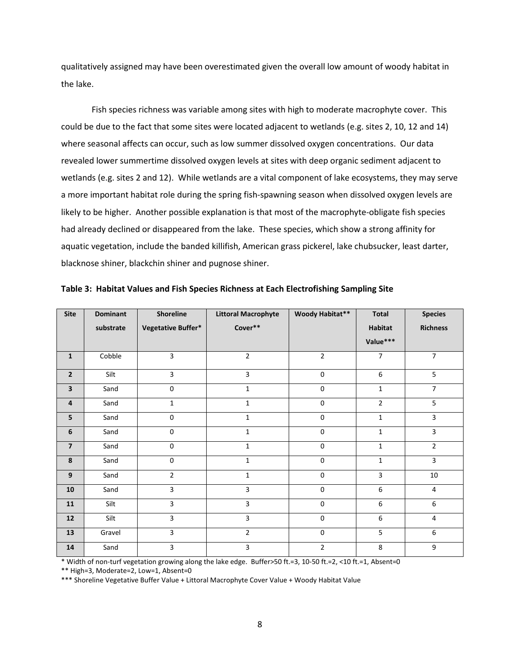qualitatively assigned may have been overestimated given the overall low amount of woody habitat in the lake.

Fish species richness was variable among sites with high to moderate macrophyte cover. This could be due to the fact that some sites were located adjacent to wetlands (e.g. sites 2, 10, 12 and 14) where seasonal affects can occur, such as low summer dissolved oxygen concentrations. Our data revealed lower summertime dissolved oxygen levels at sites with deep organic sediment adjacent to wetlands (e.g. sites 2 and 12). While wetlands are a vital component of lake ecosystems, they may serve a more important habitat role during the spring fish-spawning season when dissolved oxygen levels are likely to be higher. Another possible explanation is that most of the macrophyte-obligate fish species had already declined or disappeared from the lake. These species, which show a strong affinity for aquatic vegetation, include the banded killifish, American grass pickerel, lake chubsucker, least darter, blacknose shiner, blackchin shiner and pugnose shiner.

| <b>Site</b>             | <b>Dominant</b> | <b>Shoreline</b>    | <b>Littoral Macrophyte</b> | Woody Habitat** | <b>Total</b>   | <b>Species</b>   |
|-------------------------|-----------------|---------------------|----------------------------|-----------------|----------------|------------------|
|                         | substrate       | Vegetative Buffer*  | Cover**                    |                 | Habitat        | <b>Richness</b>  |
|                         |                 |                     |                            |                 | Value***       |                  |
| $\mathbf{1}$            | Cobble          | $\overline{3}$      | $\overline{2}$             | $\overline{2}$  | $\overline{7}$ | $\overline{7}$   |
| $\mathbf{2}$            | Silt            | $\overline{3}$      | 3                          | $\mathbf{0}$    | 6              | $\overline{5}$   |
| 3                       | Sand            | $\mathbf 0$         | $\mathbf{1}$               | $\mathbf 0$     | $\mathbf{1}$   | $\overline{7}$   |
| $\overline{4}$          | Sand            | $\mathbf{1}$        | $\mathbf{1}$               | $\mathbf 0$     | $\overline{2}$ | 5                |
| 5                       | Sand            | $\mathbf 0$         | $\mathbf{1}$               | $\mathbf 0$     | $\mathbf 1$    | $\overline{3}$   |
| 6                       | Sand            | $\mathsf{O}\xspace$ | $\mathbf{1}$               | $\pmb{0}$       | $\mathbf{1}$   | $\overline{3}$   |
| $\overline{\mathbf{z}}$ | Sand            | $\mathsf{O}\xspace$ | $\mathbf{1}$               | $\mathbf 0$     | $\mathbf{1}$   | $\overline{2}$   |
| 8                       | Sand            | $\mathsf{O}\xspace$ | $\mathbf{1}$               | $\pmb{0}$       | $\mathbf{1}$   | $\overline{3}$   |
| 9                       | Sand            | $\overline{2}$      | $\mathbf{1}$               | $\mathbf 0$     | 3              | 10               |
| 10                      | Sand            | $\overline{3}$      | 3                          | $\pmb{0}$       | 6              | $\overline{4}$   |
| 11                      | Silt            | $\mathbf{3}$        | 3                          | $\pmb{0}$       | 6              | $\boldsymbol{6}$ |
| 12                      | Silt            | $\mathbf{3}$        | 3                          | 0               | 6              | 4                |
| 13                      | Gravel          | $\overline{3}$      | $\overline{2}$             | $\pmb{0}$       | 5              | $\boldsymbol{6}$ |
| 14                      | Sand            | 3                   | 3                          | $\overline{2}$  | 8              | 9                |

**Table 3: Habitat Values and Fish Species Richness at Each Electrofishing Sampling Site**

\* Width of non-turf vegetation growing along the lake edge. Buffer>50 ft.=3, 10-50 ft.=2, <10 ft.=1, Absent=0

\*\* High=3, Moderate=2, Low=1, Absent=0

\*\*\* Shoreline Vegetative Buffer Value + Littoral Macrophyte Cover Value + Woody Habitat Value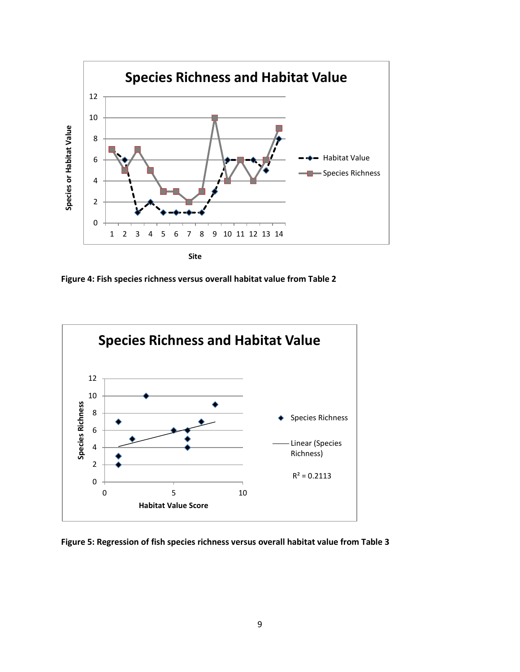

**Figure 4: Fish species richness versus overall habitat value from Table 2**



**Figure 5: Regression of fish species richness versus overall habitat value from Table 3**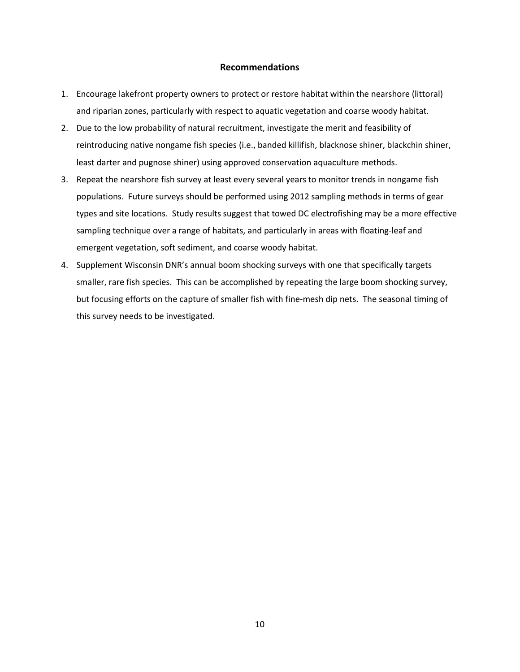## **Recommendations**

- 1. Encourage lakefront property owners to protect or restore habitat within the nearshore (littoral) and riparian zones, particularly with respect to aquatic vegetation and coarse woody habitat.
- 2. Due to the low probability of natural recruitment, investigate the merit and feasibility of reintroducing native nongame fish species (i.e., banded killifish, blacknose shiner, blackchin shiner, least darter and pugnose shiner) using approved conservation aquaculture methods.
- 3. Repeat the nearshore fish survey at least every several years to monitor trends in nongame fish populations. Future surveys should be performed using 2012 sampling methods in terms of gear types and site locations. Study results suggest that towed DC electrofishing may be a more effective sampling technique over a range of habitats, and particularly in areas with floating-leaf and emergent vegetation, soft sediment, and coarse woody habitat.
- 4. Supplement Wisconsin DNR's annual boom shocking surveys with one that specifically targets smaller, rare fish species. This can be accomplished by repeating the large boom shocking survey, but focusing efforts on the capture of smaller fish with fine-mesh dip nets. The seasonal timing of this survey needs to be investigated.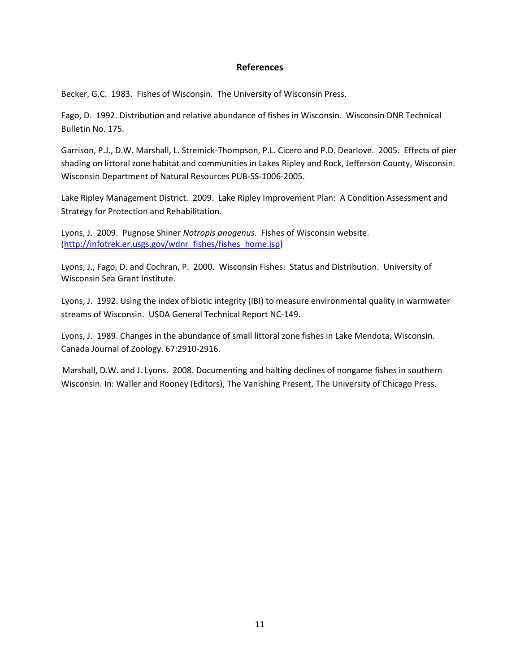## **References**

Becker, G.C. 1983. Fishes of Wisconsin. The University of Wisconsin Press.

Fago, D. 1992. Distribution and relative abundance of fishes in Wisconsin. Wisconsin DNR Technical Bulletin No. 175.

Garrison, P.J., D.W. Marshall, L. Stremick-Thompson, P.L. Cicero and P.D. Dearlove. 2005. Effects of pier shading on littoral zone habitat and communities in Lakes Ripley and Rock, Jefferson County, Wisconsin. Wisconsin Department of Natural Resources PUB-SS-1006-2005.

Lake Ripley Management District. 2009. Lake Ripley Improvement Plan: A Condition Assessment and Strategy for Protection and Rehabilitation.

Lyons, J. 2009. Pugnose Shiner *Notropis anogenus.* Fishes of Wisconsin website. [\(http://infotrek.er.usgs.gov/wdnr\\_fishes/fishes\\_home.jsp\)](http://infotrek.er.usgs.gov/wdnr_fishes/fishes_home.jsp)

Lyons, J., Fago, D. and Cochran, P. 2000. Wisconsin Fishes: Status and Distribution. University of Wisconsin Sea Grant Institute.

Lyons, J. 1992. Using the index of biotic integrity (IBI) to measure environmental quality in warmwater streams of Wisconsin. USDA General Technical Report NC-149.

Lyons, J. 1989. Changes in the abundance of small littoral zone fishes in Lake Mendota, Wisconsin. Canada Journal of Zoology. 67:2910-2916.

 Marshall, D.W. and J. Lyons. 2008. Documenting and halting declines of nongame fishes in southern Wisconsin. In: Waller and Rooney (Editors), The Vanishing Present, The University of Chicago Press.